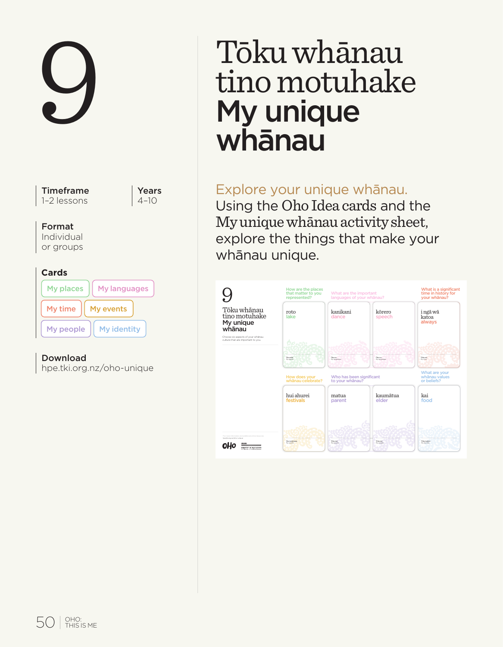

hpe.tki.org.nz/oho-unique

# 9 Tōku whānau tino motuhake My unique whānau

# Explore your unique whānau.

Using the Oho Idea cards and the My unique whānau activity sheet, explore the things that make your whānau unique.

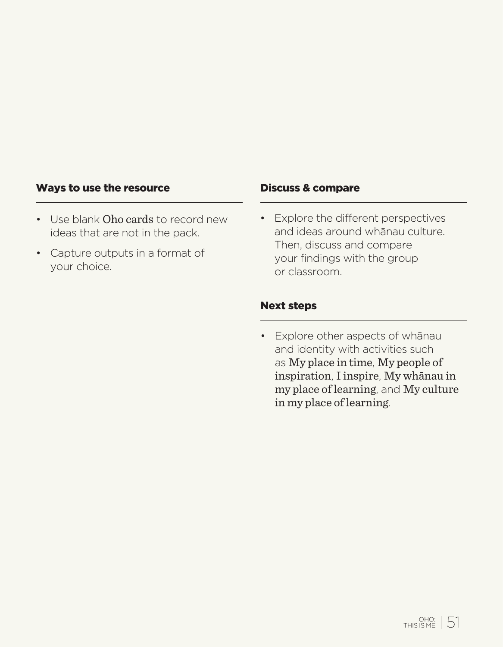#### Ways to use the resource

- Use blank Oho cards to record new ideas that are not in the pack.
- Capture outputs in a format of your choice.

#### Discuss & compare

• Explore the different perspectives and ideas around whānau culture. Then, discuss and compare your findings with the group or classroom.

### Next steps

• Explore other aspects of whānau and identity with activities such as My place in time, My people of inspiration, I inspire, My whānau in my place of learning, and My culture in my place of learning.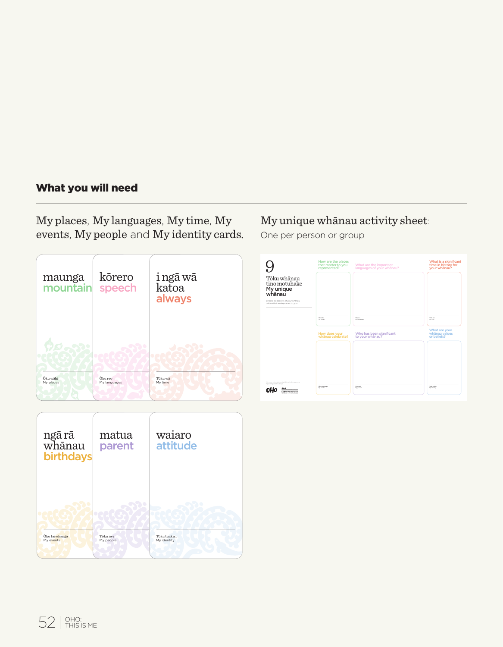# What you will need

My places, My languages, My time, My events, My people and My identity cards.





# My unique whānau activity sheet:

One per person or group

|                                                                         | How are the places<br>that matter to you<br>represented? | What are the important<br>languages of your whanau? | What is a significant<br>time in history for<br>your whanau? |
|-------------------------------------------------------------------------|----------------------------------------------------------|-----------------------------------------------------|--------------------------------------------------------------|
| Töku whänau<br>tino motuhake<br>My unique<br>whānau                     |                                                          |                                                     |                                                              |
| Choose six aspects of your whatau<br>culture that are important to you. |                                                          |                                                     |                                                              |
|                                                                         | <b>buyer</b><br>$-200$                                   | <b>Daniel</b><br><b>The Strategies</b>              | Total And<br>$-100$                                          |
|                                                                         | How does your<br>whānau celebrate?                       | Who has been significant<br>to your whanau?         | What are your<br>whānau values<br>or beliefs?                |
|                                                                         |                                                          |                                                     |                                                              |
|                                                                         |                                                          |                                                     |                                                              |
| Contractor Information and                                              |                                                          |                                                     |                                                              |
| <b>Martin etc. Nel Management</b><br><br><b>REPAIR OF BOULDER</b>       | <b>Burning</b><br>$\sim$                                 | Total Mil<br><b>COLLA</b>                           | <b>TANKS</b><br><b>STATISTICS</b>                            |